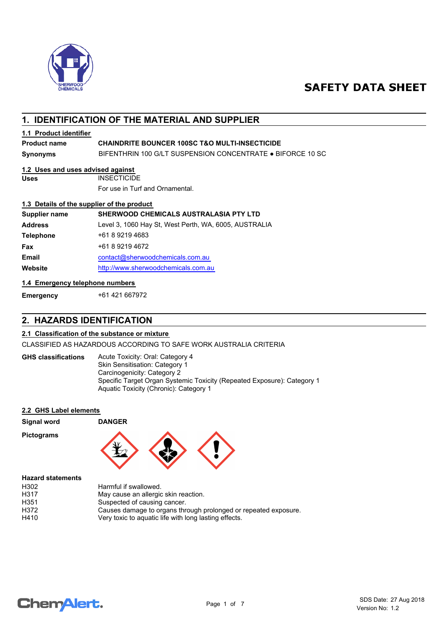

# **SAFETY DATA SHEET**

# **1. IDENTIFICATION OF THE MATERIAL AND SUPPLIER**

### **1.1 Product identifier**

### **Product name CHAINDRITE BOUNCER 100SC T&O MULTI-INSECTICIDE**

**Synonyms** BIFENTHRIN 100 G/LT SUSPENSION CONCENTRATE ● BIFORCE 10 SC

### **1.2 Uses and uses advised against**

**Uses** INSECTICIDE

For use in Turf and Ornamental.

### **1.3 Details of the supplier of the product**

| Supplier name    | <b>SHERWOOD CHEMICALS AUSTRALASIA PTY LTD</b>         |
|------------------|-------------------------------------------------------|
| <b>Address</b>   | Level 3, 1060 Hay St, West Perth, WA, 6005, AUSTRALIA |
| <b>Telephone</b> | +61 8 9219 4683                                       |
| Fax              | +61 8 9219 4672                                       |
| Email            | contact@sherwoodchemicals.com.au                      |
| Website          | http://www.sherwoodchemicals.com.au                   |

### **1.4 Emergency telephone numbers**

**Emergency** +61 421 667972

# **2. HAZARDS IDENTIFICATION**

### **2.1 Classification of the substance or mixture**

CLASSIFIED AS HAZARDOUS ACCORDING TO SAFE WORK AUSTRALIA CRITERIA

Acute Toxicity: Oral: Category 4 Skin Sensitisation: Category 1 Carcinogenicity: Category 2 Specific Target Organ Systemic Toxicity (Repeated Exposure): Category 1 Aquatic Toxicity (Chronic): Category 1 **GHS classifications**

### **2.2 GHS Label elements**

| <b>Signal word</b>       | <b>DANGER</b> |  |  |
|--------------------------|---------------|--|--|
| <b>Pictograms</b>        | ٦v            |  |  |
| <b>Hazard statements</b> |               |  |  |

| H302             | Harmful if swallowed.                                           |
|------------------|-----------------------------------------------------------------|
| H317             | May cause an allergic skin reaction.                            |
| H <sub>351</sub> | Suspected of causing cancer.                                    |
| H372             | Causes damage to organs through prolonged or repeated exposure. |
| H410             | Very toxic to aguatic life with long lasting effects.           |

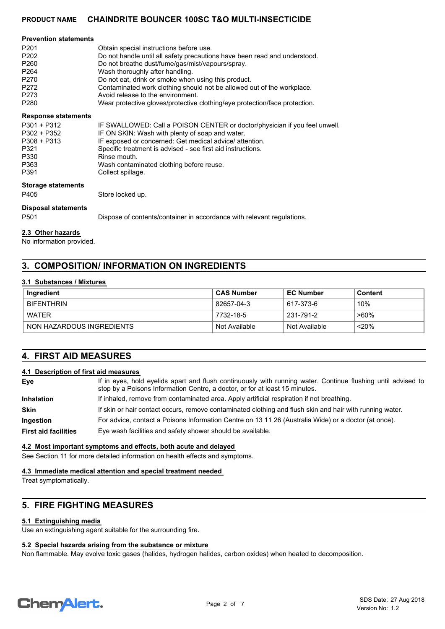| <b>Prevention statements</b> |                                                                            |
|------------------------------|----------------------------------------------------------------------------|
| P <sub>201</sub>             | Obtain special instructions before use.                                    |
| P <sub>202</sub>             | Do not handle until all safety precautions have been read and understood.  |
| P <sub>260</sub>             | Do not breathe dust/fume/gas/mist/vapours/spray.                           |
| P <sub>264</sub>             | Wash thoroughly after handling.                                            |
| P <sub>270</sub>             | Do not eat, drink or smoke when using this product.                        |
| P <sub>272</sub>             | Contaminated work clothing should not be allowed out of the workplace.     |
| P <sub>273</sub>             | Avoid release to the environment.                                          |
| P <sub>280</sub>             | Wear protective gloves/protective clothing/eye protection/face protection. |

### **Response statements**

| $P301 + P312$ | IF SWALLOWED: Call a POISON CENTER or doctor/physician if you feel unwell. |
|---------------|----------------------------------------------------------------------------|
| P302 + P352   | IF ON SKIN: Wash with plenty of soap and water.                            |
| $P308 + P313$ | IF exposed or concerned: Get medical advice/ attention.                    |
| P321          | Specific treatment is advised - see first aid instructions.                |
| P330          | Rinse mouth.                                                               |
| P363          | Wash contaminated clothing before reuse.                                   |
| P391          | Collect spillage.                                                          |

### **Storage statements**

P405 Store locked up.

**Disposal statements**

P501 Dispose of contents/container in accordance with relevant regulations.

#### **2.3 Other hazards**

No information provided.

# **3. COMPOSITION/ INFORMATION ON INGREDIENTS**

### **3.1 Substances / Mixtures**

| Ingredient                | <b>CAS Number</b> | <b>EC Number</b> | Content |
|---------------------------|-------------------|------------------|---------|
| <b>BIFENTHRIN</b>         | 82657-04-3        | 617-373-6        | 10%     |
| <b>WATER</b>              | 7732-18-5         | 231-791-2        | $>60\%$ |
| NON HAZARDOUS INGREDIENTS | Not Available     | Not Available    | < 20%   |

# **4. FIRST AID MEASURES**

### **4.1 Description of first aid measures**

| Eye                         | If in eyes, hold eyelids apart and flush continuously with running water. Continue flushing until advised to<br>stop by a Poisons Information Centre, a doctor, or for at least 15 minutes. |
|-----------------------------|---------------------------------------------------------------------------------------------------------------------------------------------------------------------------------------------|
| Inhalation                  | If inhaled, remove from contaminated area. Apply artificial respiration if not breathing.                                                                                                   |
| <b>Skin</b>                 | If skin or hair contact occurs, remove contaminated clothing and flush skin and hair with running water.                                                                                    |
| Ingestion                   | For advice, contact a Poisons Information Centre on 13 11 26 (Australia Wide) or a doctor (at once).                                                                                        |
| <b>First aid facilities</b> | Eye wash facilities and safety shower should be available.                                                                                                                                  |
|                             |                                                                                                                                                                                             |

### **4.2 Most important symptoms and effects, both acute and delayed**

See Section 11 for more detailed information on health effects and symptoms.

### **4.3 Immediate medical attention and special treatment needed**

Treat symptomatically.

# **5. FIRE FIGHTING MEASURES**

### **5.1 Extinguishing media**

Use an extinguishing agent suitable for the surrounding fire.

# **5.2 Special hazards arising from the substance or mixture**

Non flammable. May evolve toxic gases (halides, hydrogen halides, carbon oxides) when heated to decomposition.

# **ChemAlert.**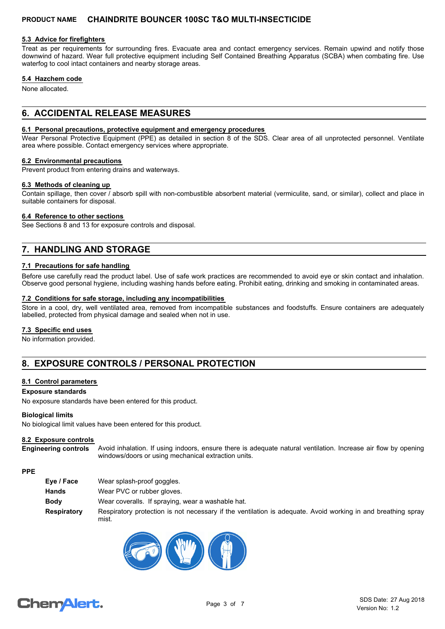### **5.3 Advice for firefighters**

Treat as per requirements for surrounding fires. Evacuate area and contact emergency services. Remain upwind and notify those downwind of hazard. Wear full protective equipment including Self Contained Breathing Apparatus (SCBA) when combating fire. Use waterfog to cool intact containers and nearby storage areas.

### **5.4 Hazchem code**

None allocated.

# **6. ACCIDENTAL RELEASE MEASURES**

### **6.1 Personal precautions, protective equipment and emergency procedures**

Wear Personal Protective Equipment (PPE) as detailed in section 8 of the SDS. Clear area of all unprotected personnel. Ventilate area where possible. Contact emergency services where appropriate.

### **6.2 Environmental precautions**

Prevent product from entering drains and waterways.

#### **6.3 Methods of cleaning up**

Contain spillage, then cover / absorb spill with non-combustible absorbent material (vermiculite, sand, or similar), collect and place in suitable containers for disposal.

### **6.4 Reference to other sections**

See Sections 8 and 13 for exposure controls and disposal.

# **7. HANDLING AND STORAGE**

### **7.1 Precautions for safe handling**

Before use carefully read the product label. Use of safe work practices are recommended to avoid eye or skin contact and inhalation. Observe good personal hygiene, including washing hands before eating. Prohibit eating, drinking and smoking in contaminated areas.

### **7.2 Conditions for safe storage, including any incompatibilities**

Store in a cool, dry, well ventilated area, removed from incompatible substances and foodstuffs. Ensure containers are adequately labelled, protected from physical damage and sealed when not in use.

### **7.3 Specific end uses**

No information provided.

# **8. EXPOSURE CONTROLS / PERSONAL PROTECTION**

### **8.1 Control parameters**

### **Exposure standards**

No exposure standards have been entered for this product.

### **Biological limits**

No biological limit values have been entered for this product.

### **8.2 Exposure controls**

Avoid inhalation. If using indoors, ensure there is adequate natural ventilation. Increase air flow by opening windows/doors or using mechanical extraction units. **Engineering controls**

### **PPE**

| Eye / Face  | Wear splash-proof goggles.                                                                                            |
|-------------|-----------------------------------------------------------------------------------------------------------------------|
| Hands       | Wear PVC or rubber gloves.                                                                                            |
| Body        | Wear coveralls. If spraying, wear a washable hat.                                                                     |
| Respiratory | Respiratory protection is not necessary if the ventilation is adequate. Avoid working in and breathing spray<br>mist. |



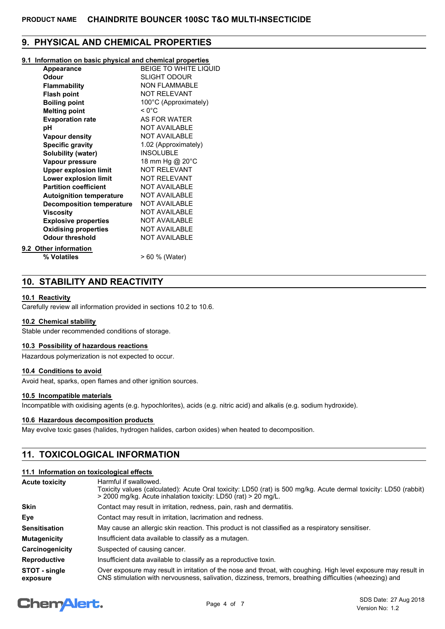# **9. PHYSICAL AND CHEMICAL PROPERTIES**

### **9.1 Information on basic physical and chemical properties**

| Appearance                       | <b>BEIGE TO WHITE LIQUID</b> |
|----------------------------------|------------------------------|
| <b>Odour</b>                     | <b>SLIGHT ODOUR</b>          |
| <b>Flammability</b>              | <b>NON FLAMMABLE</b>         |
| <b>Flash point</b>               | <b>NOT RELEVANT</b>          |
| <b>Boiling point</b>             | 100°C (Approximately)        |
| <b>Melting point</b>             | $< 0^{\circ}$ C              |
| <b>Evaporation rate</b>          | AS FOR WATER                 |
| рH                               | <b>NOT AVAILABLE</b>         |
| <b>Vapour density</b>            | <b>NOT AVAILABLE</b>         |
| <b>Specific gravity</b>          | 1.02 (Approximately)         |
| Solubility (water)               | <b>INSOLUBLE</b>             |
| Vapour pressure                  | 18 mm Hg @ 20°C              |
| <b>Upper explosion limit</b>     | <b>NOT RELEVANT</b>          |
| Lower explosion limit            | <b>NOT RELEVANT</b>          |
| <b>Partition coefficient</b>     | <b>NOT AVAILABLE</b>         |
| <b>Autoignition temperature</b>  | <b>NOT AVAILABLE</b>         |
| <b>Decomposition temperature</b> | <b>NOT AVAILABLE</b>         |
| <b>Viscosity</b>                 | <b>NOT AVAILABLE</b>         |
| <b>Explosive properties</b>      | <b>NOT AVAILABLE</b>         |
| <b>Oxidising properties</b>      | <b>NOT AVAILABLE</b>         |
| <b>Odour threshold</b>           | <b>NOT AVAILABLE</b>         |
| 9.2 Other information            |                              |
| % Volatiles                      | > 60 % (Water)               |

# **10. STABILITY AND REACTIVITY**

### **10.1 Reactivity**

Carefully review all information provided in sections 10.2 to 10.6.

### **10.2 Chemical stability**

Stable under recommended conditions of storage.

### **10.3 Possibility of hazardous reactions**

Hazardous polymerization is not expected to occur.

### **10.4 Conditions to avoid**

Avoid heat, sparks, open flames and other ignition sources.

### **10.5 Incompatible materials**

Incompatible with oxidising agents (e.g. hypochlorites), acids (e.g. nitric acid) and alkalis (e.g. sodium hydroxide).

### **10.6 Hazardous decomposition products**

May evolve toxic gases (halides, hydrogen halides, carbon oxides) when heated to decomposition.

# **11. TOXICOLOGICAL INFORMATION**

### **11.1 Information on toxicological effects**

| <b>Acute toxicity</b>     | Harmful if swallowed.<br>Toxicity values (calculated): Acute Oral toxicity: LD50 (rat) is 500 mg/kg. Acute dermal toxicity: LD50 (rabbit)<br>> 2000 mg/kg. Acute inhalation toxicity: LD50 (rat) > 20 mg/L.                |  |
|---------------------------|----------------------------------------------------------------------------------------------------------------------------------------------------------------------------------------------------------------------------|--|
| <b>Skin</b>               | Contact may result in irritation, redness, pain, rash and dermatitis.                                                                                                                                                      |  |
| Eye                       | Contact may result in irritation, lacrimation and redness.                                                                                                                                                                 |  |
| <b>Sensitisation</b>      | May cause an allergic skin reaction. This product is not classified as a respiratory sensitiser.                                                                                                                           |  |
| <b>Mutagenicity</b>       | Insufficient data available to classify as a mutagen.                                                                                                                                                                      |  |
| Carcinogenicity           | Suspected of causing cancer.                                                                                                                                                                                               |  |
| <b>Reproductive</b>       | Insufficient data available to classify as a reproductive toxin.                                                                                                                                                           |  |
| STOT - single<br>exposure | Over exposure may result in irritation of the nose and throat, with coughing. High level exposure may result in<br>CNS stimulation with nervousness, salivation, dizziness, tremors, breathing difficulties (wheezing) and |  |

# **ChemAlert.**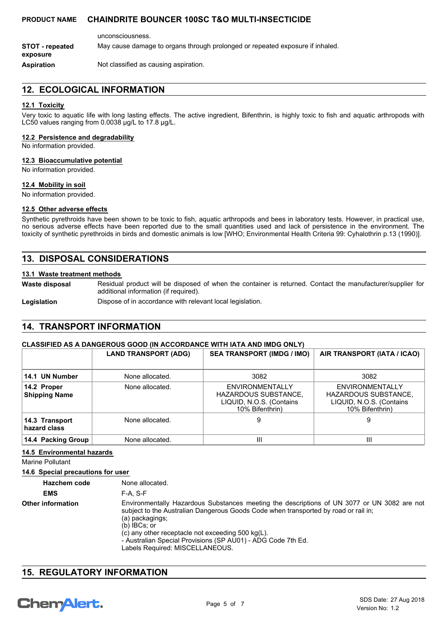unconsciousness. **Aspiration** Not classified as causing aspiration. **STOT - repeated** May cause damage to organs through prolonged or repeated exposure if inhaled. **exposure**

# **12. ECOLOGICAL INFORMATION**

### **12.1 Toxicity**

Very toxic to aquatic life with long lasting effects. The active ingredient, Bifenthrin, is highly toxic to fish and aquatic arthropods with LC50 values ranging from 0.0038 μg/L to 17.8 μg/L.

#### **12.2 Persistence and degradability**

No information provided.

### **12.3 Bioaccumulative potential**

No information provided.

### **12.4 Mobility in soil**

No information provided.

### **12.5 Other adverse effects**

Synthetic pyrethroids have been shown to be toxic to fish, aquatic arthropods and bees in laboratory tests. However, in practical use, no serious adverse effects have been reported due to the small quantities used and lack of persistence in the environment. The toxicity of synthetic pyrethroids in birds and domestic animals is low [WHO; Environmental Health Criteria 99: Cyhalothrin p.13 (1990)].

# **13. DISPOSAL CONSIDERATIONS**

### **13.1 Waste treatment methods**

Residual product will be disposed of when the container is returned. Contact the manufacturer/supplier for additional information (if required). **Waste disposal**

**Legislation** Dispose of in accordance with relevant local legislation.

# **14. TRANSPORT INFORMATION**

### **CLASSIFIED AS A DANGEROUS GOOD (IN ACCORDANCE WITH IATA AND IMDG ONLY)**

|                                     | <b>LAND TRANSPORT (ADG)</b> | <b>SEA TRANSPORT (IMDG / IMO)</b>                                                             | AIR TRANSPORT (IATA / ICAO)                                                                          |
|-------------------------------------|-----------------------------|-----------------------------------------------------------------------------------------------|------------------------------------------------------------------------------------------------------|
| 14.1 UN Number                      | None allocated.             | 3082                                                                                          | 3082                                                                                                 |
| 14.2 Proper<br><b>Shipping Name</b> | None allocated.             | ENVIRONMENTALLY<br><b>HAZARDOUS SUBSTANCE,</b><br>LIQUID, N.O.S. (Contains<br>10% Bifenthrin) | <b>ENVIRONMENTALLY</b><br><b>HAZARDOUS SUBSTANCE,</b><br>LIQUID, N.O.S. (Contains<br>10% Bifenthrin) |
| 14.3 Transport<br>hazard class      | None allocated.             | 9                                                                                             | 9                                                                                                    |
| 14.4 Packing Group                  | None allocated.             | Ш                                                                                             | $\mathbf{  }$                                                                                        |

### **14.5 Environmental hazards**

Marine Pollutant

### **14.6 Special precautions for user**

| <b>Hazchem code</b>      | None allocated.                                                                                                                                                                                                                                                                                                                                                                            |
|--------------------------|--------------------------------------------------------------------------------------------------------------------------------------------------------------------------------------------------------------------------------------------------------------------------------------------------------------------------------------------------------------------------------------------|
| <b>EMS</b>               | $F-A. S-F$                                                                                                                                                                                                                                                                                                                                                                                 |
| <b>Other information</b> | Environmentally Hazardous Substances meeting the descriptions of UN 3077 or UN 3082 are not<br>subject to the Australian Dangerous Goods Code when transported by road or rail in;<br>(a) packagings;<br>$(b)$ IBCs: or<br>(c) any other receptacle not exceeding $500 \text{ kg(L)}$ .<br>- Australian Special Provisions (SP AU01) - ADG Code 7th Ed.<br>Labels Required: MISCELLANEOUS. |

## **15. REGULATORY INFORMATION**

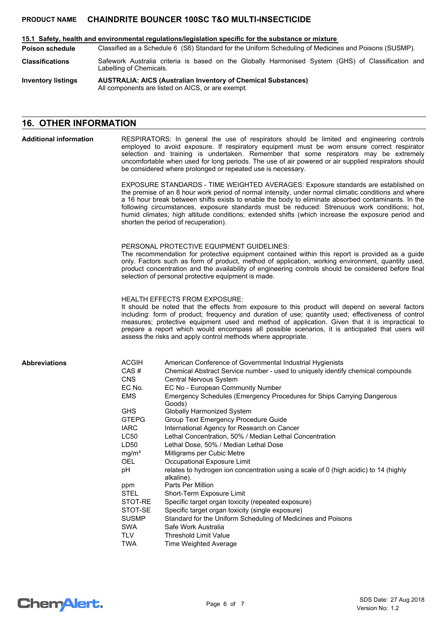#### **15.1 Safety, health and environmental regulations/legislation specific for the substance or mixture**

Classified as a Schedule 6 (S6) Standard for the Uniform Scheduling of Medicines and Poisons (SUSMP). **Poison schedule**

Safework Australia criteria is based on the Globally Harmonised System (GHS) of Classification and Labelling of Chemicals. **Classifications**

**AUSTRALIA: AICS (Australian Inventory of Chemical Substances)** All components are listed on AICS, or are exempt. **Inventory listings**

# **16. OTHER INFORMATION**

#### RESPIRATORS: In general the use of respirators should be limited and engineering controls employed to avoid exposure. If respiratory equipment must be worn ensure correct respirator selection and training is undertaken. Remember that some respirators may be extremely uncomfortable when used for long periods. The use of air powered or air supplied respirators should be considered where prolonged or repeated use is necessary. **Additional information**

EXPOSURE STANDARDS - TIME WEIGHTED AVERAGES: Exposure standards are established on the premise of an 8 hour work period of normal intensity, under normal climatic conditions and where a 16 hour break between shifts exists to enable the body to eliminate absorbed contaminants. In the following circumstances, exposure standards must be reduced: Strenuous work conditions; hot, humid climates; high altitude conditions; extended shifts (which increase the exposure period and shorten the period of recuperation).

### PERSONAL PROTECTIVE EQUIPMENT GUIDELINES:

The recommendation for protective equipment contained within this report is provided as a guide only. Factors such as form of product, method of application, working environment, quantity used, product concentration and the availability of engineering controls should be considered before final selection of personal protective equipment is made.

### HEALTH EFFECTS FROM EXPOSURE:

It should be noted that the effects from exposure to this product will depend on several factors including: form of product; frequency and duration of use; quantity used; effectiveness of control measures; protective equipment used and method of application. Given that it is impractical to prepare a report which would encompass all possible scenarios, it is anticipated that users will assess the risks and apply control methods where appropriate.

### **Abbreviations**

| <b>ACGIH</b>      | American Conference of Governmental Industrial Hygienists                                          |
|-------------------|----------------------------------------------------------------------------------------------------|
| CAS#              | Chemical Abstract Service number - used to uniquely identify chemical compounds                    |
| <b>CNS</b>        | Central Nervous System                                                                             |
| EC No.            | EC No - European Community Number                                                                  |
| <b>EMS</b>        | Emergency Schedules (Emergency Procedures for Ships Carrying Dangerous<br>Goods)                   |
| <b>GHS</b>        | Globally Harmonized System                                                                         |
| <b>GTEPG</b>      | Group Text Emergency Procedure Guide                                                               |
| <b>IARC</b>       | International Agency for Research on Cancer                                                        |
| <b>LC50</b>       | Lethal Concentration, 50% / Median Lethal Concentration                                            |
| LD50              | Lethal Dose, 50% / Median Lethal Dose                                                              |
| mg/m <sup>3</sup> | Milligrams per Cubic Metre                                                                         |
| OEL.              | Occupational Exposure Limit                                                                        |
| рH                | relates to hydrogen ion concentration using a scale of 0 (high acidic) to 14 (highly<br>alkaline). |
| ppm               | Parts Per Million                                                                                  |
| STEL              | Short-Term Exposure Limit                                                                          |
| STOT-RE           | Specific target organ toxicity (repeated exposure)                                                 |
| STOT-SE           | Specific target organ toxicity (single exposure)                                                   |
| <b>SUSMP</b>      | Standard for the Uniform Scheduling of Medicines and Poisons                                       |
| <b>SWA</b>        | Safe Work Australia                                                                                |
| <b>TLV</b>        | <b>Threshold Limit Value</b>                                                                       |
| <b>TWA</b>        | Time Weighted Average                                                                              |

**ChemAlert.**